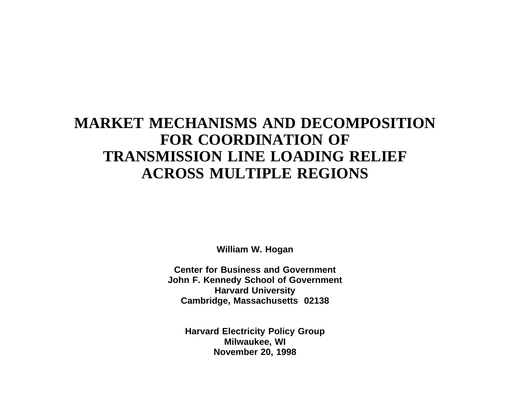## **MARKET MECHANISMS AND DECOMPOSITIONFOR COORDINATION OFTRANSMISSION LINE LOADING RELIEF ACROSS MULTIPLE REGIONS**

**William W. Hogan**

**Center for Business and GovernmentJohn F. Kennedy School of Government Harvard University Cambridge, Massachusetts 02138**

**Harvard Electricity Policy Group Milwaukee, WI November 20, 1998**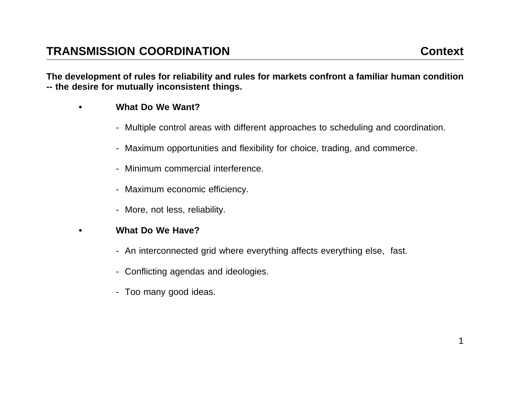The development of rules for reliability and rules for markets confront a familiar human condition **-- the desire for mutually inconsistent things.**

- **• What Do We Want?**
	- Multiple control areas with different approaches to scheduling and coordination.
	- Maximum opportunities and flexibility for choice, trading, and commerce.
	- Minimum commercial interference.
	- Maximum economic efficiency.
	- More, not less, reliability.
- **• What Do We Have?**
	- An interconnected grid where everything affects everything else, fast.
	- Conflicting agendas and ideologies.
	- Too many good ideas.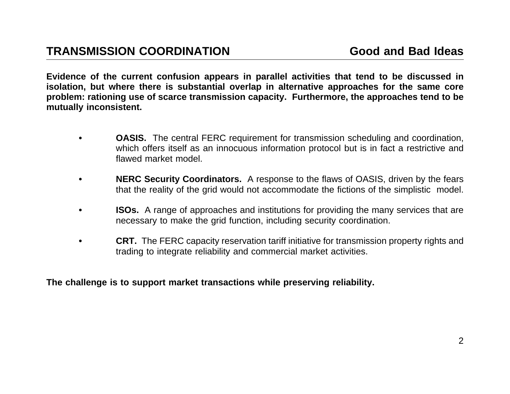Evidence of the current confusion appears in parallel activities that tend to be discussed in isolation, but where there is substantial overlap in alternative approaches for the same core problem: rationing use of scarce transmission capacity. Furthermore, the approaches tend to be **mutually inconsistent.**

- **•OASIS.** The central FERC requirement for transmission scheduling and coordination, which offers itself as an innocuous information protocol but is in fact <sup>a</sup> restrictive and flawed market model
- **• NERC Security Coordinators.** A response to the flaws of OASIS, driven by the fears that the reality of the grid would not accommodate the fictions of the simplistic model.
- **•ISOs.** A range of approaches and institutions for providing the many services that are necessary to make the grid function, including security coordination.
- **•CRT.** The FERC capacity reservation tariff initiative for transmission property rights and trading to integrate reliability and commercial market activities.

**The challenge is to support market transactions while preserving reliability.**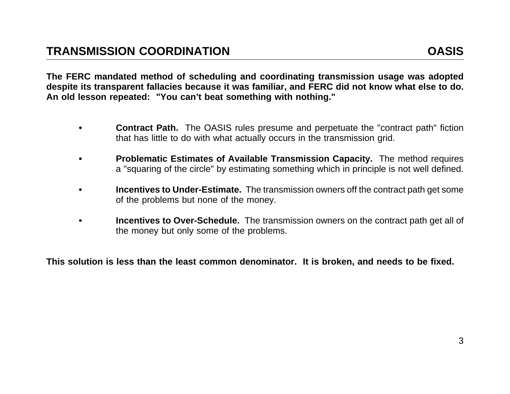The FERC mandated method of scheduling and coordinating transmission usage was adopted despite its transparent fallacies because it was familiar, and FERC did not know what else to do. **An old lesson repeated: "You can't beat something with nothing."**

- **•Contract Path.** The OASIS rules presume and perpetuate the "contract path" fiction that has little to do with what actually occurs in the transmission grid.
- **• Problematic Estimates of Available Transmission Capacity.** The method requires <sup>a</sup> "squaring of the circle" by estimating something which in principle is not well defined.
- **• Incentives to Under-Estimate.** The transmission owners off the contract path get some of the problems but none of the money.
- **• Incentives to Over-Schedule.** The transmission owners on the contract path get all of the money but only some of the problems.

This solution is less than the least common denominator. It is broken, and needs to be fixed.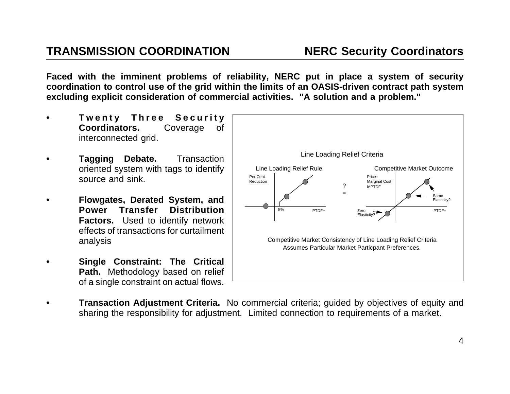Faced with the imminent problems of reliability, NERC put in place a system of security coordination to control use of the grid within the limits of an OASIS-driven contract path system excluding explicit consideration of commercial activities. "A solution and a problem."

- **• Twenty Three Security Coordinators.** Coverage of interconnected grid.
- **• Tagging Debate.** Transaction oriented system with tags to identify source and sink.
- **• Flowgates, Derated System, and Power Transfer DistributionFactors.** Used to identify network effects of transactions for curtailment analysis
- **• Single Constraint: The Critical Path.** Methodology based on relief of <sup>a</sup> single constraint on actual flows.



**• Transaction Adjustment Criteria.** No commercial criteria; guided by objectives of equity and sharing the responsibility for adjustment. Limited connection to requirements of <sup>a</sup> market.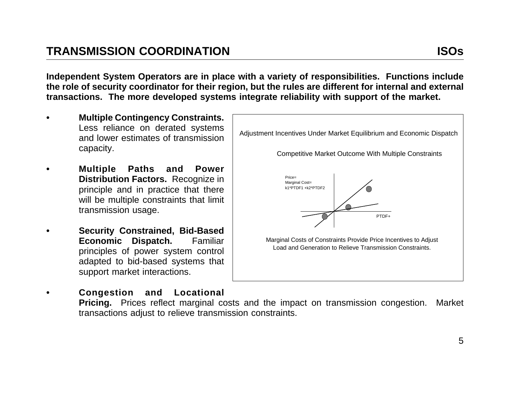Independent System Operators are in place with a variety of responsibilities. Functions include the role of security coordinator for their region, but the rules are different for internal and external transactions. The more developed systems integrate reliability with support of the market.

- **• Multiple Contingency Constraints.** capacity.
- **• Multiple Paths and Power Distribution Factors.** Recognize in principle and in practice that there will be multiple constraints that limit transmission usage.
- **• Security Constrained, Bid-Based Economic Dispatch.** Familiar principles of power system control adapted to bid-based systems that support market interactions.

**•**



 **Congestion and Locational Pricing.** Prices reflect marginal costs and the impact on transmission congestion. Market transactions adjust to relieve transmission constraints.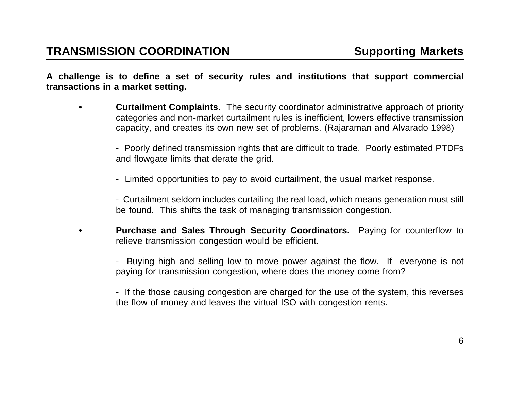**•**

A challenge is to define a set of security rules and institutions that support commercial **transactions in <sup>a</sup> market setting.**

- **• Curtailment Complaints.** The security coordinator administrative approach of priority categories and non-market curtailment rules is inefficient, lowers effective transmission capacity, and creates its own new set of problems. (Rajaraman and Alvarado 1998)
	- Poorly defined transmission rights that are difficult to trade. Poorly estimated PTDFs and flowgate limits that derate the grid.
	- Limited opportunities to pay to avoid curtailment, the usual market response.

- Curtailment seldom includes curtailing the real load, which means generation must still be found. This shifts the task of managing transmission congestion.

 **Purchase and Sales Through Security Coordinators.** Paying for counterflow to relieve transmission congestion would be efficient.

- Buying high and selling low to move power against the flow. If everyone is not paying for transmission congestion, where does the money come from?

- If the those causing congestion are charged for the use of the system, this reverses the flow of money and leaves the virtual ISO with congestion rents.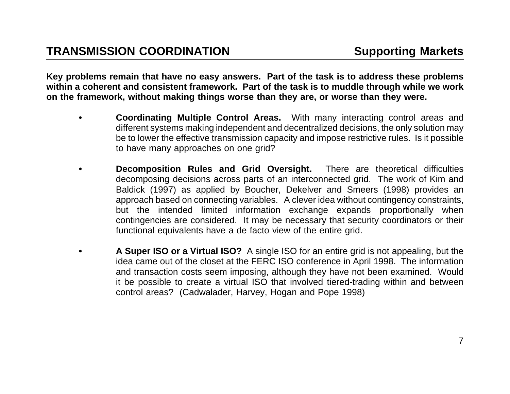Key problems remain that have no easy answers. Part of the task is to address these problems within a coherent and consistent framework. Part of the task is to muddle through while we work on the framework, without making things worse than they are, or worse than they were.

- **• Coordinating Multiple Control Areas.** With many interacting control areas and different systems making independent and decentralized decisions, the only solution may be to lower the effective transmission capacity and impose restrictive rules. Is it possible to have many approaches on one grid?
- **• Decomposition Rules and Grid Oversight.** There are theoretical difficulties decomposing decisions across parts of an interconnected grid. The work of Kim and Baldick (1997) as applied by Boucher, Dekelver and Smeers (1998) provides an approach based on connecting variables. A clever idea without contingency constraints, but the intended limited information exchange expands proportionally when contingencies are considered. It may be necessary that security coordinators or their functional equivalents have <sup>a</sup> de facto view of the entire grid.
- **• A Super ISO or <sup>a</sup> Virtual ISO?** A single ISO for an entire grid is not appealing, but the idea came out of the closet at the FERC ISO conference in April 1998. The information and transaction costs seem imposing, although they have not been examined. Would it be possible to create <sup>a</sup> virtual ISO that involved tiered-trading within and between control areas? (Cadwalader, Harvey, Hogan and Pope 1998)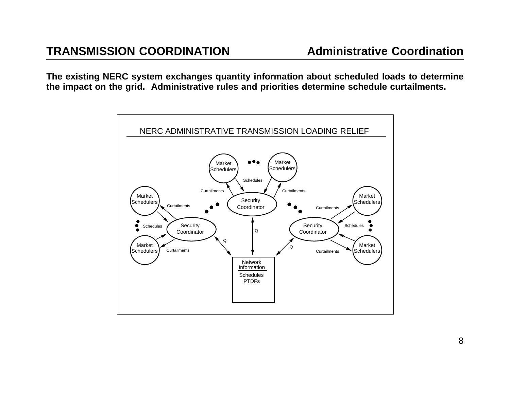The existing NERC system exchanges quantity information about scheduled loads to determine the impact on the grid. Administrative rules and priorities determine schedule curtailments.

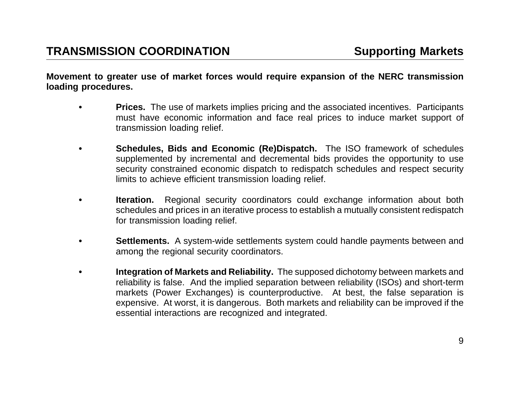Movement to greater use of market forces would require expansion of the NERC transmission **loading procedures.**

- **•Prices.** The use of markets implies pricing and the associated incentives. Participants must have economic information and face real prices to induce market support of transmission loading relief.
- **• Schedules, Bids and Economic (Re)Dispatch.** The ISO framework of schedules supplemented by incremental and decremental bids provides the opportunity to use security constrained economic dispatch to redispatch schedules and respect security limits to achieve efficient transmission loading relief.
- **•Iteration.** Regional security coordinators could exchange information about both schedules and prices in an iterative process to establish <sup>a</sup> mutually consistent redispatch for transmission loading relief.
- **•Settlements.** A system-wide settlements system could handle payments between and among the regional security coordinators.
- **• Integration of Markets and Reliability.** The supposed dichotomy between markets and reliability is false. And the implied separation between reliability (ISOs) and short-term markets (Power Exchanges) is counterproductive. At best, the false separation is expensive. At worst, it is dangerous. Both markets and reliability can be improved if the essential interactions are recognized and integrated.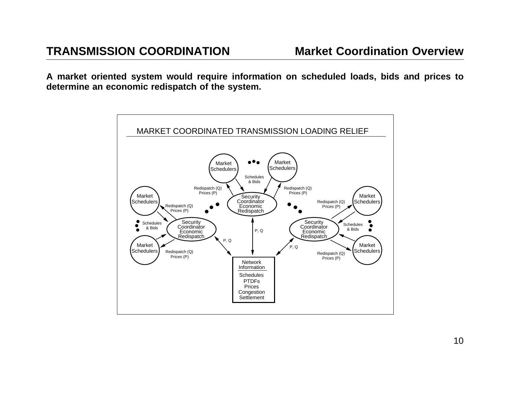A market oriented system would require information on scheduled loads, bids and prices to **determine an economic redispatch of the system.**

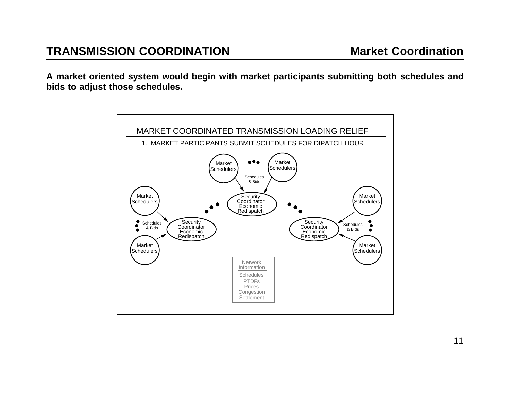A market oriented system would begin with market participants submitting both schedules and **bids to adjust those schedules.**

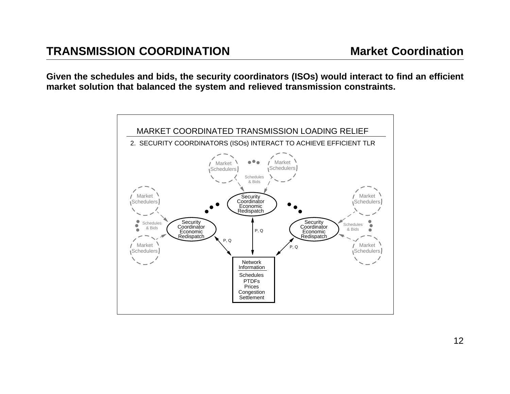Given the schedules and bids, the security coordinators (ISOs) would interact to find an efficient **market solution that balanced the system and relieved transmission constraints.**

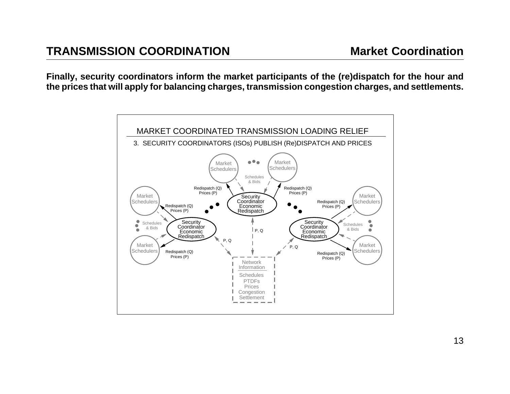Finally, security coordinators inform the market participants of the (re)dispatch for the hour and the prices that will apply for balancing charges, transmission congestion charges, and settlements.

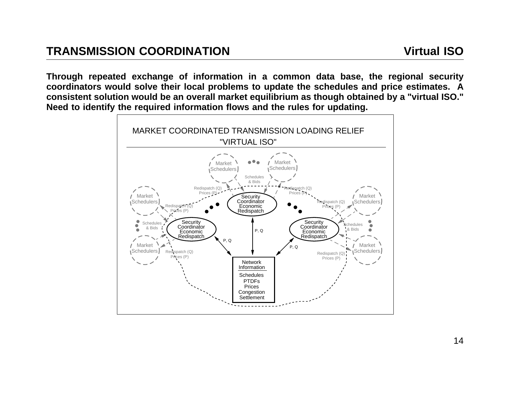Through repeated exchange of information in a common data base, the regional security coordinators would solve their local problems to update the schedules and price estimates. A consistent solution would be an overall market equilibrium as though obtained by a "virtual ISO." Need to identify the required information flows and the rules for updating.

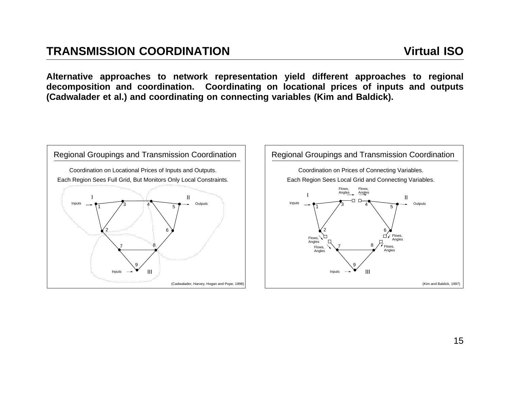**Alternative approaches to network representation yield different approaches to regional** decomposition and coordination. Coordinating on locational prices of inputs and outputs (Cadwalader et al.) and coordinating on connecting variables (Kim and Baldick).



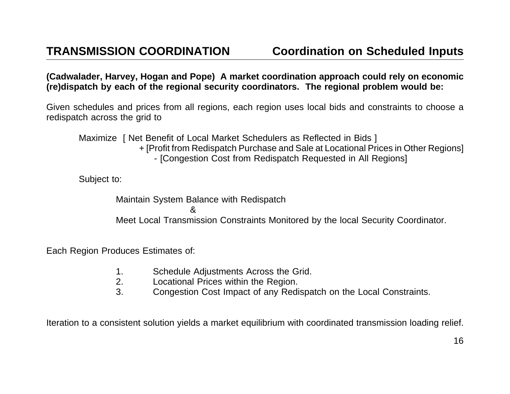(Cadwalader, Harvey, Hogan and Pope) A market coordination approach could rely on economic (re)dispatch by each of the regional security coordinators. The regional problem would be:

Given schedules and prices from all regions, each region uses local bids and constraints to choose <sup>a</sup> redispatch across the grid to

Maximize | Net Benefit of Local Market Schedulers as Reflected in Bids | + [Profit from Redispatch Purchase and Sale at Locational Prices in Other Regions] - [Congestion Cost from Redispatch Requested in All Regions]

Subject to:

Maintain System Balance with Redispatch &Meet Local Transmission Constraints Monitored by the local Security Coordinator.

Each Region Produces Estimates of:

- 1. Schedule Adjustments Across the Grid.
- 2. Locational Prices within the Region.
- 3. Congestion Cost Impact of any Redispatch on the Local Constraints.

Iteration to <sup>a</sup> consistent solution yields <sup>a</sup> market equilibrium with coordinated transmission loading relief.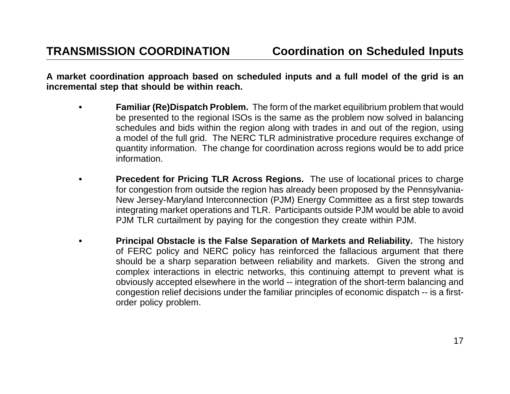A market coordination approach based on scheduled inputs and a full model of the grid is an **incremental step that should be within reach.**

- **• Familiar (Re)Dispatch Problem.** The form of the market equilibrium problem that would be presented to the regional ISOs is the same as the problem now solved in balancing schedules and bids within the region along with trades in and out of the region, using <sup>a</sup> model of the full grid. The NERC TLR administrative procedure requires exchange of quantity information. The change for coordination across regions would be to add price information.
- **• Precedent for Pricing TLR Across Regions.** The use of locational prices to charge for congestion from outside the region has already been proposed by the Pennsylvania-New Jersey-Maryland Interconnection (PJM) Energy Committee as <sup>a</sup> first step towards integrating market operations and TLR. Participants outside PJM would be able to avoid PJM TLR curtailment by paying for the congestion they create within PJM.
- **• Principal Obstacle is the False Separation of Markets and Reliability.** The history of FERC policy and NERC policy has reinforced the fallacious argument that there should be <sup>a</sup> sharp separation between reliability and markets. Given the strong and complex interactions in electric networks, this continuing attempt to prevent what is obviously accepted elsewhere in the world -- integration of the short-term balancing and congestion relief decisions under the familiar principles of economic dispatch -- is <sup>a</sup> firstorder policy problem.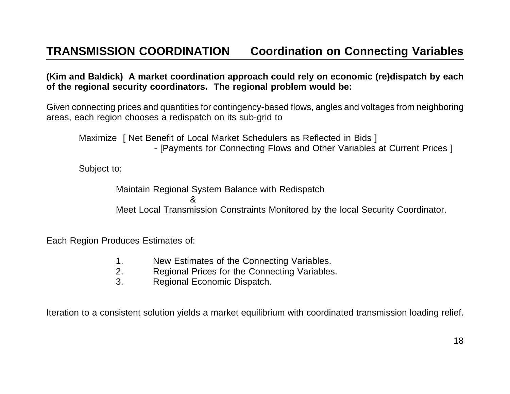(Kim and Baldick) A market coordination approach could rely on economic (re)dispatch by each **of the regional security coordinators. The regional problem would be:**

Given connecting prices and quantities for contingency-based flows, angles and voltages from neighboring areas, each region chooses <sup>a</sup> redispatch on its sub-grid to

Maximize | Net Benefit of Local Market Schedulers as Reflected in Bids | - [Payments for Connecting Flows and Other Variables at Current Prices ]

Subject to:

Maintain Regional System Balance with Redispatch &Meet Local Transmission Constraints Monitored by the local Security Coordinator.

Each Region Produces Estimates of:

- 1. New Estimates of the Connecting Variables.
- 2. Regional Prices for the Connecting Variables.
- 3. Regional Economic Dispatch.

Iteration to <sup>a</sup> consistent solution yields <sup>a</sup> market equilibrium with coordinated transmission loading relief.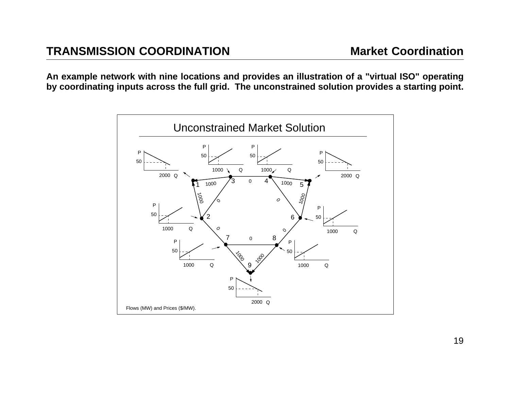An example network with nine locations and provides an illustration of a "virtual ISO" operating by coordinating inputs across the full grid. The unconstrained solution provides a starting point.

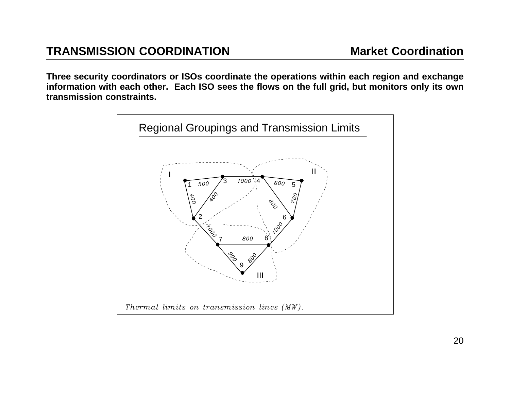Three security coordinators or ISOs coordinate the operations within each region and exchange information with each other. Each ISO sees the flows on the full grid, but monitors only its own **transmission constraints.**

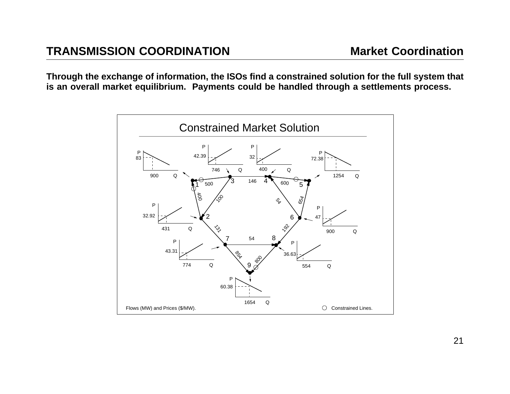Through the exchange of information, the ISOs find a constrained solution for the full system that is an overall market equilibrium. Payments could be handled through a settlements process.

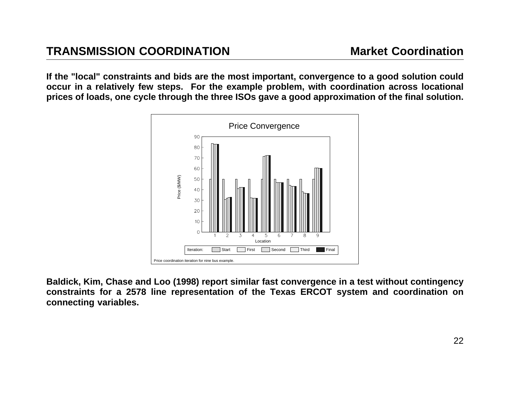If the "local" constraints and bids are the most important, convergence to a good solution could occur in a relatively few steps. For the example problem, with coordination across locational prices of loads, one cycle through the three ISOs gave a good approximation of the final solution.



Baldick, Kim, Chase and Loo (1998) report similar fast convergence in a test without contingency constraints for a 2578 line representation of the Texas ERCOT system and coordination on **connecting variables.**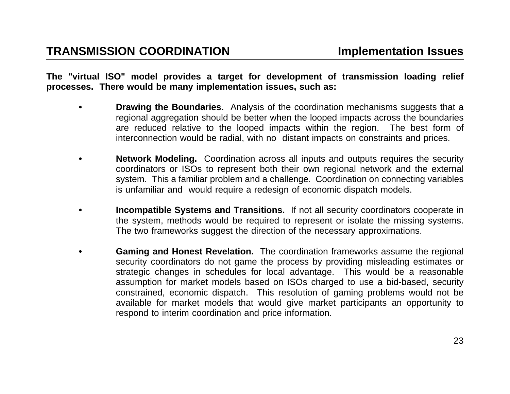The "virtual ISO" model provides a target for development of transmission loading relief **processes. There would be many implementation issues, such as:**

- **• Drawing the Boundaries.** Analysis of the coordination mechanisms suggests that <sup>a</sup> regional aggregation should be better when the looped impacts across the boundaries are reduced relative to the looped impacts within the region. The best form of interconnection would be radial, with no distant impacts on constraints and prices.
- **• Network Modeling.** Coordination across all inputs and outputs requires the security coordinators or ISOs to represent both their own regional network and the external system. This <sup>a</sup> familiar problem and <sup>a</sup> challenge. Coordination on connecting variables is unfamiliar and would require <sup>a</sup> redesign of economic dispatch models.
- **• Incompatible Systems and Transitions.** If not all security coordinators cooperate in the system, methods would be required to represent or isolate the missing systems. The two frameworks suggest the direction of the necessary approximations.
- **• Gaming and Honest Revelation.** The coordination frameworks assume the regional security coordinators do not game the process by providing misleading estimates or strategic changes in schedules for local advantage. This would be <sup>a</sup> reasonable assumption for market models based on ISOs charged to use <sup>a</sup> bid-based, security constrained, economic dispatch. This resolution of gaming problems would not be available for market models that would give market participants an opportunity to respond to interim coordination and price information.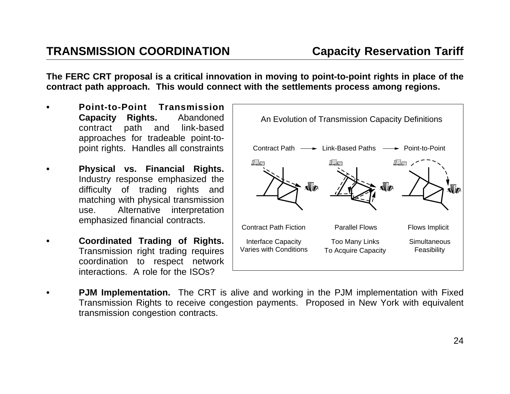The FERC CRT proposal is a critical innovation in moving to point-to-point rights in place of the contract path approach. This would connect with the settlements process among regions.

- **• Point-to-Point TransmissionCapacity Rights.** Abandoned contract path and link-based approaches for tradeable point-topoint rights. Handles all constraints
- **• Physical vs. Financial Rights.** Industry response emphasized the difficulty of trading rights and matching with physical transmission use. Alternative interpretation emphasized financial contracts.
- **• Coordinated Trading of Rights.** Transmission right trading requires coordination to respect network interactions. A role for the ISOs?



**•PJM Implementation.** The CRT is alive and working in the PJM implementation with Fixed Transmission Rights to receive congestion payments. Proposed in New York with equivalent transmission congestion contracts.